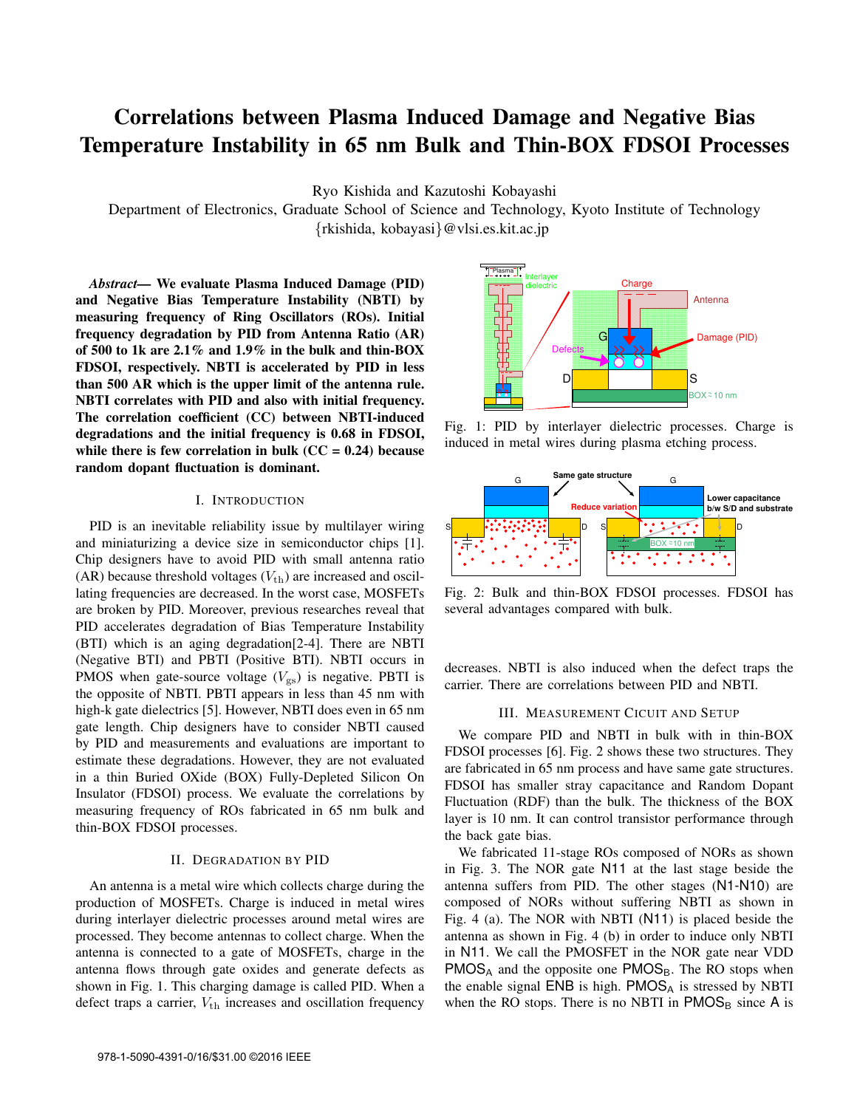# Correlations between Plasma Induced Damage and Negative Bias Temperature Instability in 65 nm Bulk and Thin-BOX FDSOI Processes

Ryo Kishida and Kazutoshi Kobayashi

Department of Electronics, Graduate School of Science and Technology, Kyoto Institute of Technology {rkishida, kobayasi}@vlsi.es.kit.ac.jp

*Abstract—* We evaluate Plasma Induced Damage (PID) and Negative Bias Temperature Instability (NBTI) by measuring frequency of Ring Oscillators (ROs). Initial frequency degradation by PID from Antenna Ratio (AR) of 500 to 1k are 2.1% and 1.9% in the bulk and thin-BOX FDSOI, respectively. NBTI is accelerated by PID in less than 500 AR which is the upper limit of the antenna rule. NBTI correlates with PID and also with initial frequency. The correlation coefficient (CC) between NBTI-induced degradations and the initial frequency is 0.68 in FDSOI, while there is few correlation in bulk  $(CC = 0.24)$  because random dopant fluctuation is dominant.

# I. INTRODUCTION

PID is an inevitable reliability issue by multilayer wiring and miniaturizing a device size in semiconductor chips [1]. Chip designers have to avoid PID with small antenna ratio (AR) because threshold voltages  $(V_{\text{th}})$  are increased and oscillating frequencies are decreased. In the worst case, MOSFETs are broken by PID. Moreover, previous researches reveal that PID accelerates degradation of Bias Temperature Instability (BTI) which is an aging degradation[2-4]. There are NBTI (Negative BTI) and PBTI (Positive BTI). NBTI occurs in PMOS when gate-source voltage  $(V_{gs})$  is negative. PBTI is the opposite of NBTI. PBTI appears in less than 45 nm with high-k gate dielectrics [5]. However, NBTI does even in 65 nm gate length. Chip designers have to consider NBTI caused by PID and measurements and evaluations are important to estimate these degradations. However, they are not evaluated in a thin Buried OXide (BOX) Fully-Depleted Silicon On Insulator (FDSOI) process. We evaluate the correlations by measuring frequency of ROs fabricated in 65 nm bulk and thin-BOX FDSOI processes.

### II. DEGRADATION BY PID

An antenna is a metal wire which collects charge during the production of MOSFETs. Charge is induced in metal wires during interlayer dielectric processes around metal wires are processed. They become antennas to collect charge. When the antenna is connected to a gate of MOSFETs, charge in the antenna flows through gate oxides and generate defects as shown in Fig. 1. This charging damage is called PID. When a defect traps a carrier,  $V_{\text{th}}$  increases and oscillation frequency



Fig. 1: PID by interlayer dielectric processes. Charge is induced in metal wires during plasma etching process.



Fig. 2: Bulk and thin-BOX FDSOI processes. FDSOI has several advantages compared with bulk.

decreases. NBTI is also induced when the defect traps the carrier. There are correlations between PID and NBTI.

## III. MEASUREMENT CICUIT AND SETUP

We compare PID and NBTI in bulk with in thin-BOX FDSOI processes [6]. Fig. 2 shows these two structures. They are fabricated in 65 nm process and have same gate structures. FDSOI has smaller stray capacitance and Random Dopant Fluctuation (RDF) than the bulk. The thickness of the BOX layer is 10 nm. It can control transistor performance through the back gate bias.

We fabricated 11-stage ROs composed of NORs as shown in Fig. 3. The NOR gate N11 at the last stage beside the antenna suffers from PID. The other stages (N1-N10) are composed of NORs without suffering NBTI as shown in Fig. 4 (a). The NOR with NBTI (N11) is placed beside the antenna as shown in Fig. 4 (b) in order to induce only NBTI in N11. We call the PMOSFET in the NOR gate near VDD  $PMOS<sub>A</sub>$  and the opposite one  $PMOS<sub>B</sub>$ . The RO stops when the enable signal  $ENB$  is high.  $PMOS<sub>A</sub>$  is stressed by NBTI when the RO stops. There is no NBTI in  $PMOS<sub>B</sub>$  since A is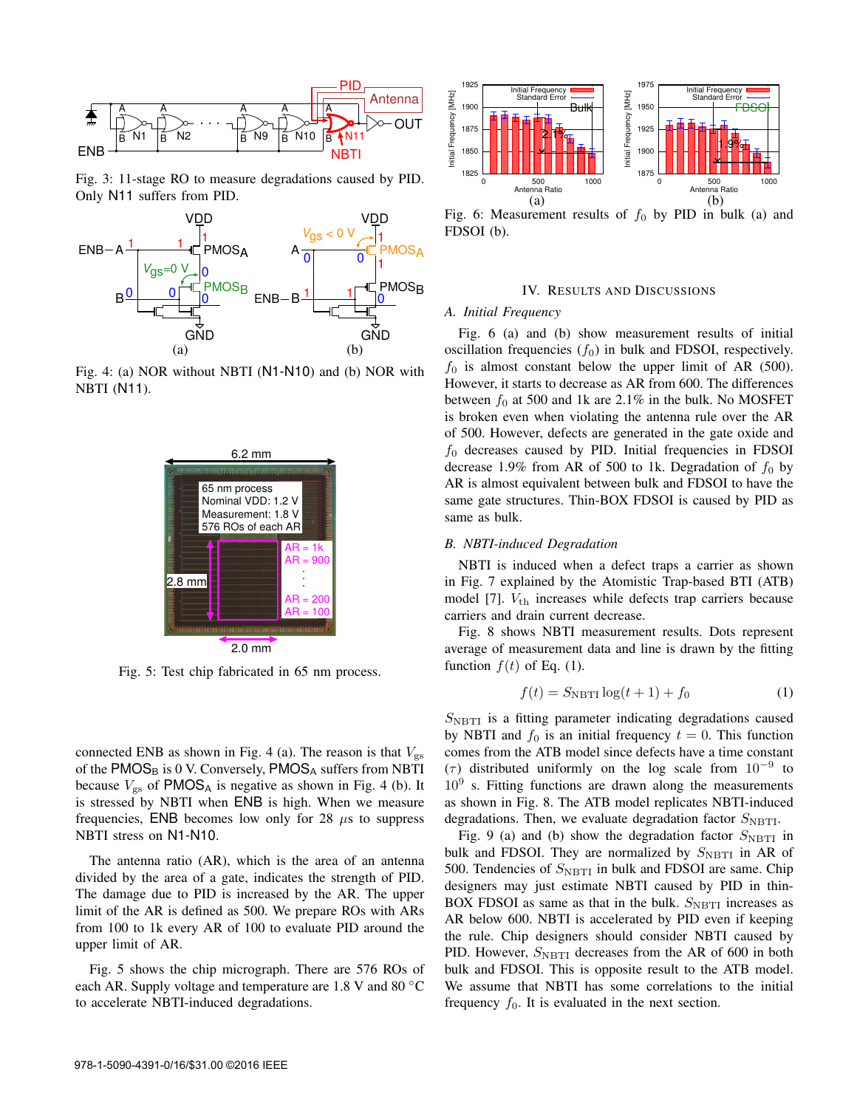

Fig. 3: 11-stage RO to measure degradations caused by PID. Only N11 suffers from PID.



Fig. 4: (a) NOR without NBTI (N1-N10) and (b) NOR with NBTI (N11).



Fig. 5: Test chip fabricated in 65 nm process.

connected ENB as shown in Fig. 4 (a). The reason is that  $V_{\rm gs}$ of the  $PMOS_B$  is 0 V. Conversely,  $PMOS_A$  suffers from NBTI because  $V_{\rm gs}$  of PMOS<sub>A</sub> is negative as shown in Fig. 4 (b). It is stressed by NBTI when ENB is high. When we measure frequencies, ENB becomes low only for 28  $\mu$ s to suppress NBTI stress on N1-N10.

The antenna ratio (AR), which is the area of an antenna divided by the area of a gate, indicates the strength of PID. The damage due to PID is increased by the AR. The upper limit of the AR is defined as 500. We prepare ROs with ARs from 100 to 1k every AR of 100 to evaluate PID around the upper limit of AR.

Fig. 5 shows the chip micrograph. There are 576 ROs of each AR. Supply voltage and temperature are 1.8 V and 80 ℃ to accelerate NBTI-induced degradations.



Fig. 6: Measurement results of  $f_0$  by PID in bulk (a) and FDSOI (b).

#### IV. RESULTS AND DISCUSSIONS

#### *A. Initial Frequency*

Fig. 6 (a) and (b) show measurement results of initial oscillation frequencies  $(f_0)$  in bulk and FDSOI, respectively.  $f_0$  is almost constant below the upper limit of AR (500). However, it starts to decrease as AR from 600. The differences between  $f_0$  at 500 and 1k are 2.1% in the bulk. No MOSFET is broken even when violating the antenna rule over the AR of 500. However, defects are generated in the gate oxide and  $f_0$  decreases caused by PID. Initial frequencies in FDSOI decrease 1.9% from AR of 500 to 1k. Degradation of  $f_0$  by AR is almost equivalent between bulk and FDSOI to have the same gate structures. Thin-BOX FDSOI is caused by PID as same as bulk.

# *B. NBTI-induced Degradation*

NBTI is induced when a defect traps a carrier as shown in Fig. 7 explained by the Atomistic Trap-based BTI (ATB) model [7].  $V_{\text{th}}$  increases while defects trap carriers because carriers and drain current decrease.

Fig. 8 shows NBTI measurement results. Dots represent average of measurement data and line is drawn by the fitting function  $f(t)$  of Eq. (1).

$$
f(t) = S_{\text{NBTI}} \log(t+1) + f_0 \tag{1}
$$

 $S_{\text{NBTI}}$  is a fitting parameter indicating degradations caused by NBTI and  $f_0$  is an initial frequency  $t = 0$ . This function comes from the ATB model since defects have a time constant ( $\tau$ ) distributed uniformly on the log scale from 10<sup>-9</sup> to  $10<sup>9</sup>$  s. Fitting functions are drawn along the measurements as shown in Fig. 8. The ATB model replicates NBTI-induced degradations. Then, we evaluate degradation factor  $S_{\text{NBTI}}$ .

Fig. 9 (a) and (b) show the degradation factor  $S_{\text{NBTI}}$  in bulk and FDSOI. They are normalized by  $S_{\text{NBTI}}$  in AR of 500. Tendencies of  $S_{\text{NBTI}}$  in bulk and FDSOI are same. Chip designers may just estimate NBTI caused by PID in thin-BOX FDSOI as same as that in the bulk.  $S_{\text{NBTI}}$  increases as AR below 600. NBTI is accelerated by PID even if keeping the rule. Chip designers should consider NBTI caused by PID. However,  $S_{\text{NBTI}}$  decreases from the AR of 600 in both bulk and FDSOI. This is opposite result to the ATB model. We assume that NBTI has some correlations to the initial frequency  $f_0$ . It is evaluated in the next section.